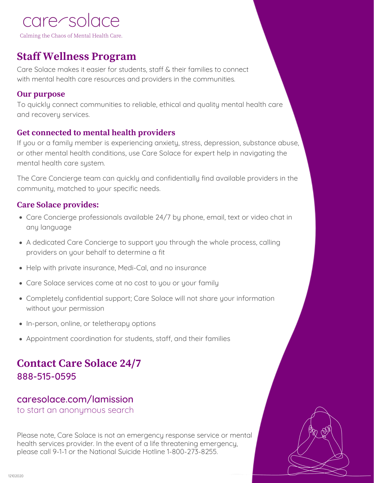# care/solace

Calming the Chaos of Mental Health Care.

## **Staff Wellness Program**

Care Solace makes it easier for students, staff & their families to connect with mental health care resources and providers in the communities.

#### **Our purpose**

To quickly connect communities to reliable, ethical and quality mental health care and recovery services.

### **Get connected to mental health providers**

If you or a family member is experiencing anxiety, stress, depression, substance abuse, or other mental health conditions, use Care Solace for expert help in navigating the mental health care system.

The Care Concierge team can quickly and confidentially find available providers in the community, matched to your specific needs.

### **Care Solace provides:**

- Care Concierge professionals available 24/7 by phone, email, text or video chat in any language
- A dedicated Care Concierge to support you through the whole process, calling providers on your behalf to determine a fit
- Help with private insurance, Medi-Cal, and no insurance
- Care Solace services come at no cost to you or your family
- Completely confidential support; Care Solace will not share your information without your permission
- In-person, online, or teletherapy options
- Appointment coordination for students, staff, and their families

## **Contact Care Solace 24/7** 888-515-0595

## caresolace.com/lamission

to start an anonymous search

Please note, Care Solace is not an emergency response service or mental health services provider. In the event of a life threatening emergency, please call 9-1-1 or the National Suicide Hotline 1-800-273-8255.